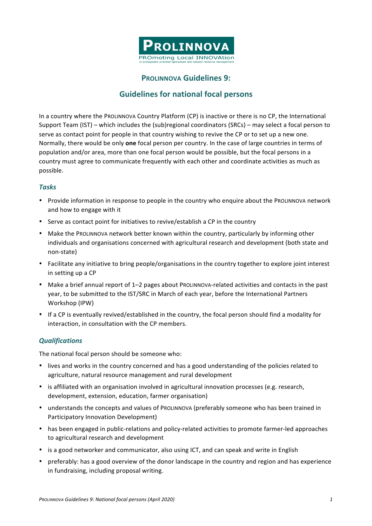

## **PROLINNOVA Guidelines 9:**

# **Guidelines for national focal persons**

In a country where the PROLINNOVA Country Platform (CP) is inactive or there is no CP, the International Support Team (IST) – which includes the  $(sub)$ regional coordinators (SRCs) – may select a focal person to serve as contact point for people in that country wishing to revive the CP or to set up a new one. Normally, there would be only **one** focal person per country. In the case of large countries in terms of population and/or area, more than one focal person would be possible, but the focal persons in a country must agree to communicate frequently with each other and coordinate activities as much as possible.

#### *Tasks*

- Provide information in response to people in the country who enquire about the PROLINNOVA network and how to engage with it
- Serve as contact point for initiatives to revive/establish a CP in the country
- Make the PROLINNOVA network better known within the country, particularly by informing other individuals and organisations concerned with agricultural research and development (both state and non-state)
- Facilitate any initiative to bring people/organisations in the country together to explore joint interest in setting up a CP
- Make a brief annual report of 1–2 pages about PROLINNOVA-related activities and contacts in the past year, to be submitted to the IST/SRC in March of each year, before the International Partners Workshop (IPW)
- If a CP is eventually revived/established in the country, the focal person should find a modality for interaction, in consultation with the CP members.

#### *Qualifications*

The national focal person should be someone who:

- lives and works in the country concerned and has a good understanding of the policies related to agriculture, natural resource management and rural development
- is affiliated with an organisation involved in agricultural innovation processes (e.g. research, development, extension, education, farmer organisation)
- understands the concepts and values of ProLINNOVA (preferably someone who has been trained in Participatory Innovation Development)
- has been engaged in public-relations and policy-related activities to promote farmer-led approaches to agricultural research and development
- is a good networker and communicator, also using ICT, and can speak and write in English
- preferably: has a good overview of the donor landscape in the country and region and has experience in fundraising, including proposal writing.